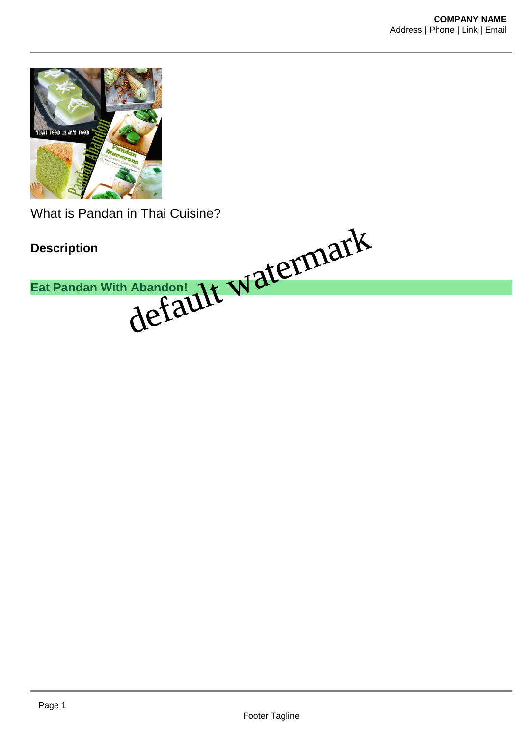

What is Pandan in Thai Cuisine?

**Description Eat Pandan With Abandon!** default watermark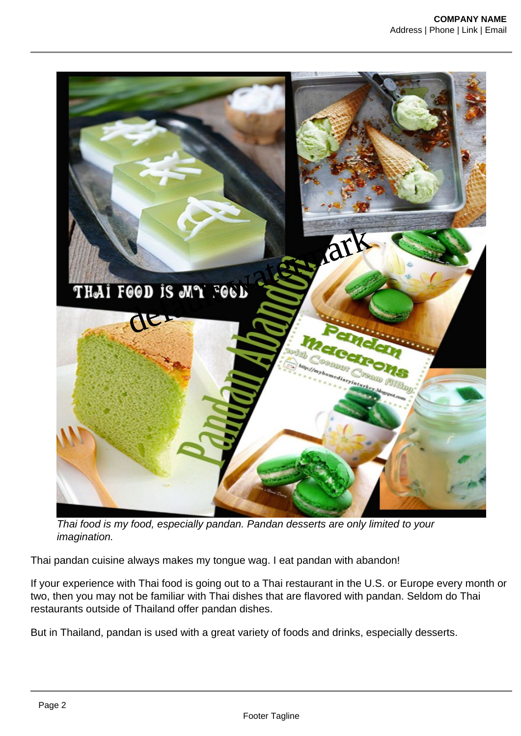

Thai food is my food, especially pandan. Pandan desserts are only limited to your imagination.

Thai pandan cuisine always makes my tongue wag. I eat pandan with abandon!

If your experience with Thai food is going out to a Thai restaurant in the U.S. or Europe every month or two, then you may not be familiar with Thai dishes that are flavored with pandan. Seldom do Thai restaurants outside of Thailand offer pandan dishes.

But in Thailand, pandan is used with a great variety of foods and drinks, especially desserts.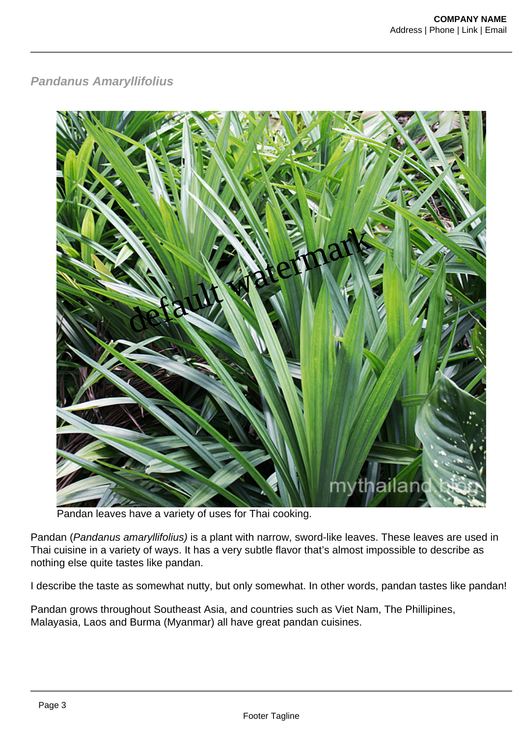## **Pandanus Amaryllifolius**



Pandan leaves have a variety of uses for Thai cooking.

Pandan (Pandanus amaryllifolius) is a plant with narrow, sword-like leaves. These leaves are used in Thai cuisine in a variety of ways. It has a very subtle flavor that's almost impossible to describe as nothing else quite tastes like pandan.

I describe the taste as somewhat nutty, but only somewhat. In other words, pandan tastes like pandan!

Pandan grows throughout Southeast Asia, and countries such as Viet Nam, The Phillipines, Malayasia, Laos and Burma (Myanmar) all have great pandan cuisines.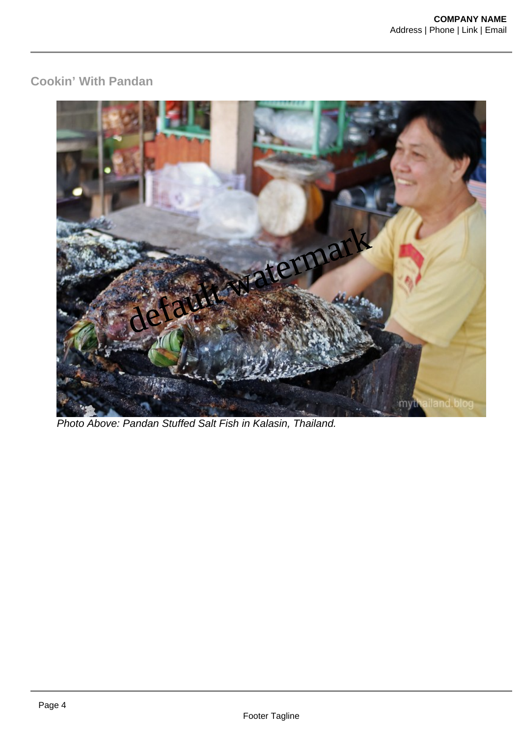## **Cookin' With Pandan**



Photo Above: Pandan Stuffed Salt Fish in Kalasin, Thailand.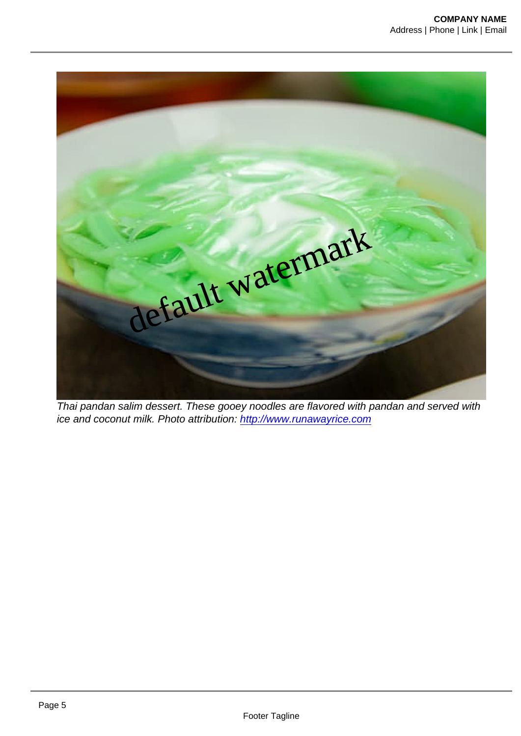default watermark

Thai pandan salim dessert. These gooey noodles are flavored with pandan and served with ice and coconut milk. Photo attribution:<http://www.runawayrice.com>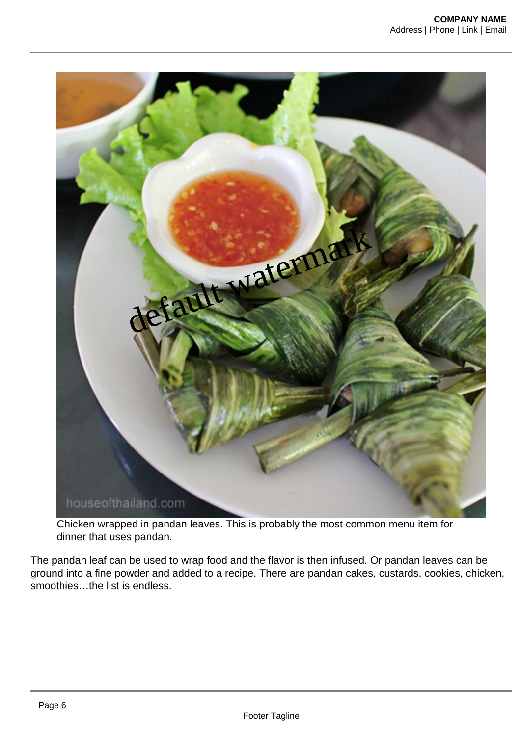

Chicken wrapped in pandan leaves. This is probably the most common menu item for dinner that uses pandan.

The pandan leaf can be used to wrap food and the flavor is then infused. Or pandan leaves can be ground into a fine powder and added to a recipe. There are pandan cakes, custards, cookies, chicken, smoothies…the list is endless.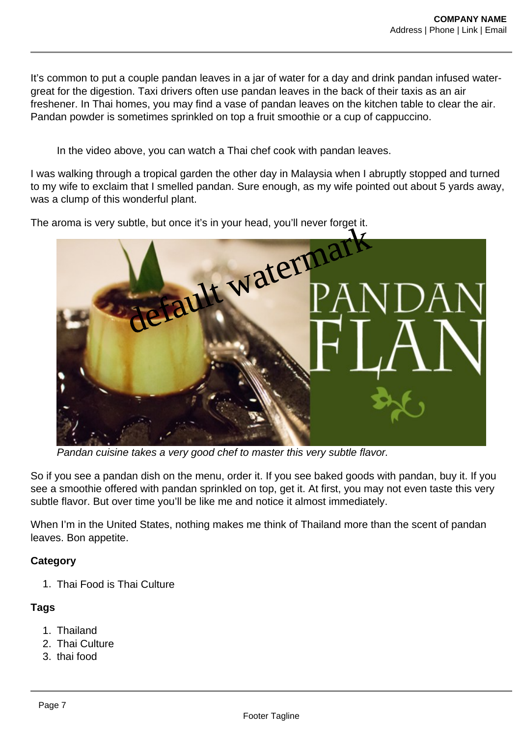It's common to put a couple pandan leaves in a jar of water for a day and drink pandan infused watergreat for the digestion. Taxi drivers often use pandan leaves in the back of their taxis as an air freshener. In Thai homes, you may find a vase of pandan leaves on the kitchen table to clear the air. Pandan powder is sometimes sprinkled on top a fruit smoothie or a cup of cappuccino.

In the video above, you can watch a Thai chef cook with pandan leaves.

I was walking through a tropical garden the other day in Malaysia when I abruptly stopped and turned to my wife to exclaim that I smelled pandan. Sure enough, as my wife pointed out about 5 yards away, was a clump of this wonderful plant.

The aroma is very subtle, but once it's in your head, you'll never forget it.



Pandan cuisine takes a very good chef to master this very subtle flavor.

So if you see a pandan dish on the menu, order it. If you see baked goods with pandan, buy it. If you see a smoothie offered with pandan sprinkled on top, get it. At first, you may not even taste this very subtle flavor. But over time you'll be like me and notice it almost immediately.

When I'm in the United States, nothing makes me think of Thailand more than the scent of pandan leaves. Bon appetite.

## **Category**

1. Thai Food is Thai Culture

## **Tags**

- 1. Thailand
- 2. Thai Culture
- 3. thai food